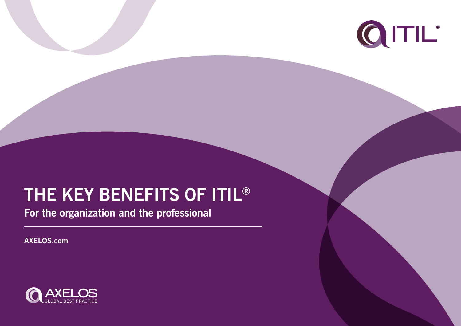# **THE KEY BENEFITS OF ITIL®**

**For the organization and the professional**

**AXELOS.com**



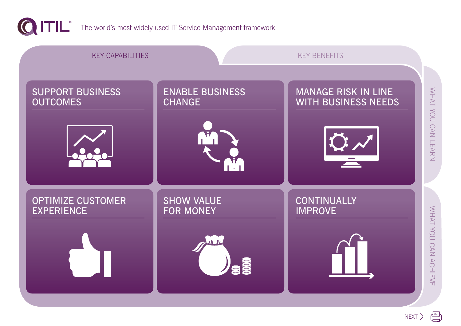

<span id="page-1-0"></span>

The world's most widely used IT Service Management framework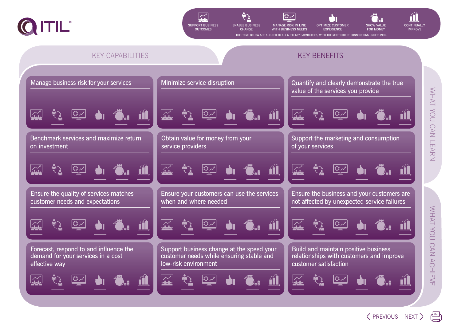

<span id="page-2-0"></span>





**EXPERIENCE** 



[PREVIOUS](#page-1-0) [NEXT](#page-3-0)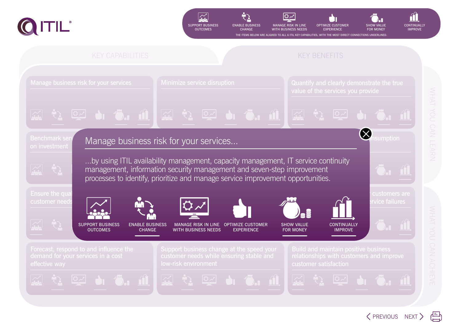

<span id="page-3-0"></span>







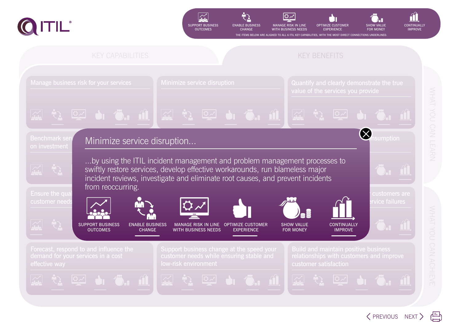

<span id="page-4-0"></span>







[PREVIOUS](#page-3-0) [NEXT](#page-5-0)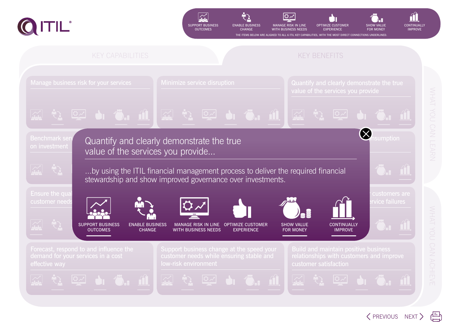

<span id="page-5-0"></span>







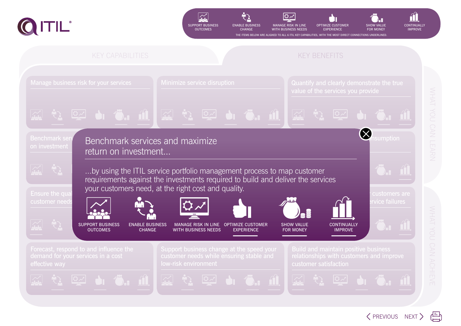

<span id="page-6-0"></span>







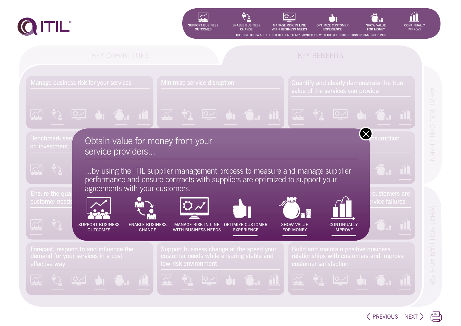

<span id="page-7-0"></span>







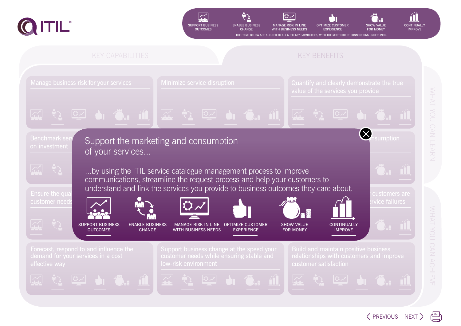

<span id="page-8-0"></span>







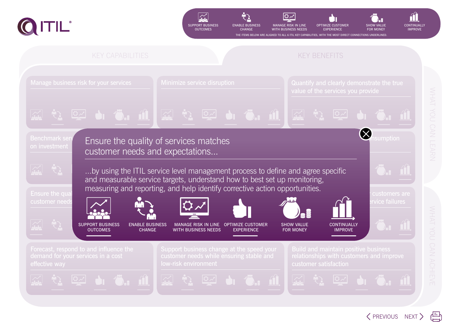

<span id="page-9-0"></span>







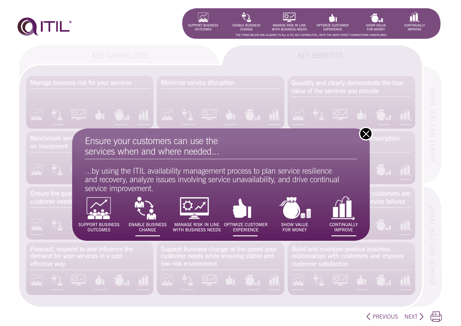

<span id="page-10-0"></span>







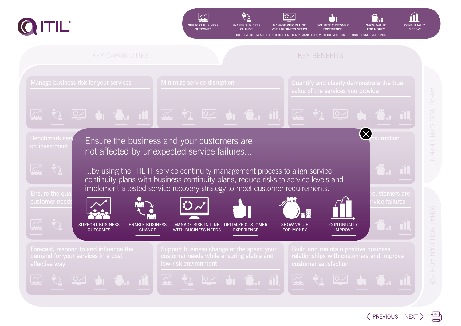

<span id="page-11-0"></span>







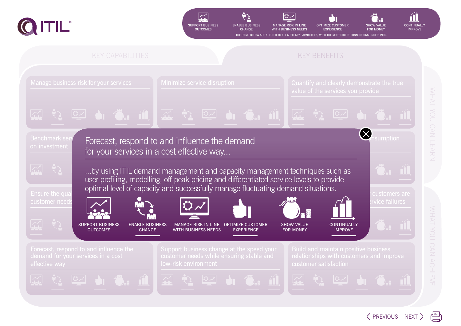

<span id="page-12-0"></span>







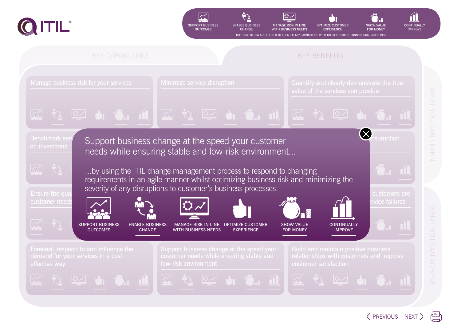

<span id="page-13-0"></span>







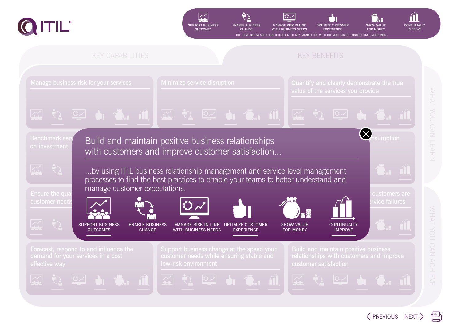

<span id="page-14-0"></span>



![](_page_14_Picture_3.jpeg)

![](_page_14_Picture_4.jpeg)

![](_page_14_Picture_5.jpeg)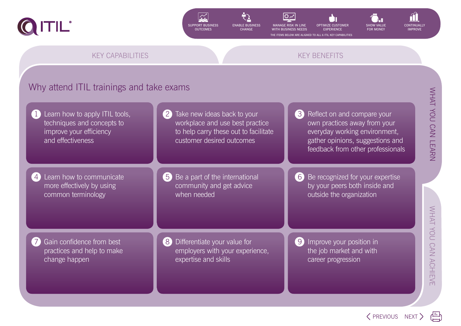## Why attend ITIL trainings and take exams

WHAT YOU CAN LEARN WHAT YOU CAN LEARN

WHAT YOU CAN ACHIEVE [WHAT YOU CAN ACHIEVE](#page-16-0)

own practices away from your everyday working environment, gather opinions, suggestions and feedback from other professionals

2 Take new ideas back to your workplace and use best practice to help carry these out to facilitate customer desired outcomes 3 Reflect on and compare your 5 Be a part of the international community and get advice when needed 6 Be recognized for your expertise outside the organization 8 Differentiate your value for employers with your experience, expertise and skills 9 Improve your position in the job market and with career progression Learn how to apply ITIL tools, techniques and concepts to improve your efficiency and effectiveness Learn how to communicate more effectively by using common terminology Gain confidence from best practices and help to make change happen

by your peers both inside and

![](_page_15_Picture_18.jpeg)

![](_page_15_Picture_19.jpeg)

![](_page_15_Picture_3.jpeg)

<span id="page-15-0"></span>![](_page_15_Picture_0.jpeg)

![](_page_15_Picture_1.jpeg)

THE ITEMS BELOW ARE ALIGNED TO ALL 6 ITIL KEY CAPABILITIES

[KEY CAPABILITIES](#page-1-0) AND THE CONTROL CONTROL CONTROL CONTROL CONTROL CONTROL CONTROL CONTROL CONTROL CONTROL CONTROL CONTROL CONTROL CONTROL CONTROL CONTROL CONTROL CONTROL CONTROL CONTROL CONTROL CONTROL CONTROL CONTROL CONTR

OPTIMIZE CUSTOMER EXPERIENCE

![](_page_15_Picture_2.jpeg)

**CHANGE** 

![](_page_15_Picture_11.jpeg)

![](_page_15_Picture_12.jpeg)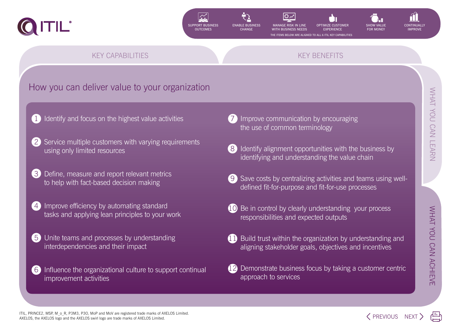# How you can deliver value to your organization

WHAT YOU CAN ACHIEVE WHAT YOU CAN ACHIEVE

[WHAT YOU CAN LEARN](#page-15-0)

WHAT YOU CAN LEARN

- I dentify and focus on the highest value activities
- Service multiple customers with varying requirements using only limited resources
- Define, measure and report relevant metrics to help with fact-based decision making
- Improve efficiency by automating standard tasks and applying lean principles to your work
- Unite teams and processes by understanding interdependencies and their impact
- 6 Influence the organizational culture to support continual improvement activities
- Improve communication by encouraging the use of common terminology
- 8 Identify alignment opportunities with the business by identifying and understanding the value chain
- Save costs by centralizing activities and teams using welldefined fit-for-purpose and fit-for-use processes
- Be in control by clearly understanding your process responsibilities and expected outputs
- Build trust within the organization by understanding and aligning stakeholder goals, objectives and incentives
- 12 Demonstrate business focus by taking a customer centric approach to services

ITIL, PRINCE2, MSP, M\_o\_R, P3M3, P3O, MoP and MoV are registered trade marks of AXELOS Limited. THE, PRINCEZ, MSP, M\_0\_R, P3M3, P3O, MOP and MOV are registered trade marks of AXELOS Limited.  $\text{XENR}$  and the AXELOS swirl logo are trade marks of AXELOS Limited.

OPTIMIZE CUSTOMER **EXPERIENCE** 

### [KEY CAPABILITIES](#page-1-0) AND THE CONTROL CONTROL CONTROL CONTROL CONTROL CONTROL CONTROL CONTROL CONTROL CONTROL CONTROL CONTROL CONTROL CONTROL CONTROL CONTROL CONTROL CONTROL CONTROL CONTROL CONTROL CONTROL CONTROL CONTROL CONTR

![](_page_16_Picture_2.jpeg)

WITH **BUSINESS** NEEDS

THE ITEMS BELOW ARE ALIGNED TO ALL 6 ITIL KEY CAPABILITIES

<span id="page-16-0"></span>![](_page_16_Picture_0.jpeg)

![](_page_16_Picture_1.jpeg)

![](_page_16_Picture_20.jpeg)

![](_page_16_Picture_21.jpeg)